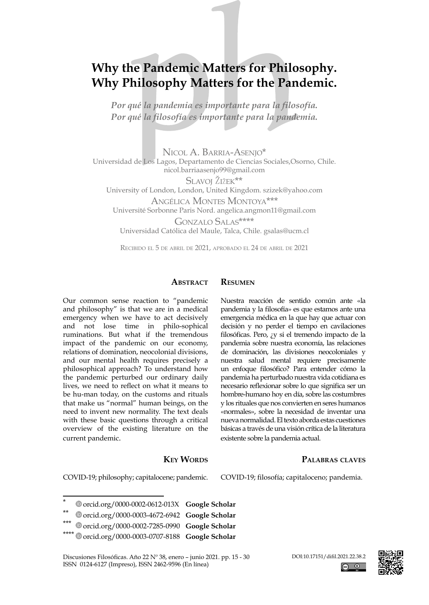# **Why the Pandemic Matters for Philosophy. Why Philosophy Matters for the Pandemic.**

*Por qué la pandemia es importante para la filosofía. Por qué la filosofía es importante para la pandemia.*

Nicol A. Barria-Asenjo\* Universidad de Los Lagos, Departamento de Ciencias Sociales,Osorno, Chile. nicol.barriaasenjo99@gmail.com Slavoj Žižek\*\* University of London, London, United Kingdom. szizek@yahoo.com Angélica Montes Montoya\*\*\* Université Sorbonne Paris Nord. angelica.angmon11@gmail.com Gonzalo Salas\*\*\*\* Universidad Católica del Maule, Talca, Chile. gsalas@ucm.cl

Recibido el 5 de abril de 2021, aprobado el 24 de abril de 2021

#### **Abstract Resumen**

Our common sense reaction to "pandemic and philosophy" is that we are in a medical emergency when we have to act decisively and not lose time in philo-sophical ruminations. But what if the tremendous impact of the pandemic on our economy, relations of domination, neocolonial divisions, and our mental health requires precisely a philosophical approach? To understand how the pandemic perturbed our ordinary daily lives, we need to reflect on what it means to be hu-man today, on the customs and rituals that make us "normal" human beings, on the need to invent new normality. The text deals with these basic questions through a critical overview of the existing literature on the current pandemic.

#### **KEY WORDS**

COVID-19; philosophy; capitalocene; pandemic.

- \*\* [orcid.org/0000-0003-4672-6942](https://orcid.org/0000-0003-4672-6942) **[Google Scholar](https://scholar.google.com/citations?user=qzuup1UAAAAJ&hl=en)**
- \*\*\* [orcid.org/0000-0002-7285-0990](https://orcid.org/0000-0002-7285-0990) **[Google Scholar](https://scholar.google.com/citations?user=jxA6d-QAAAAJ&hl=fr)**
- \*\*\*\* [orcid.org/0000-0003-0707-8188](https://orcid.org/0000-0003-0707-8188) **[Google Scholar](https://scholar.google.com/citations?user=feMshoAAAAAJ&hl=ja)**

Discusiones Filosóficas. Año 22 Nº 38, enero – junio 2021. pp. 15 - 30 ISSN 0124-6127 (Impreso), ISSN 2462-9596 (En línea)



pandemia y la filosofía» es que estamos ante una emergencia médica en la que hay que actuar con decisión y no perder el tiempo en cavilaciones filosóficas. Pero, ¿y si el tremendo impacto de la pandemia sobre nuestra economía, las relaciones de dominación, las divisiones neocoloniales y nuestra salud mental requiere precisamente un enfoque filosófico? Para entender cómo la pandemia ha perturbado nuestra vida cotidiana es necesario reflexionar sobre lo que significa ser un hombre-humano hoy en día, sobre las costumbres y los rituales que nos convierten en seres humanos «normales», sobre la necesidad de inventar una nueva normalidad. El texto aborda estas cuestiones básicas a través de una visión crítica de la literatura existente sobre la pandemia actual.

Nuestra reacción de sentido común ante «la

#### **Palabras claves**

COVID-19; filosofía; capitaloceno; pandemia.

<sup>\*</sup> [orcid.org/0000-0002-0612-013X](https://orcid.org/0000-0002-0612-013X) **[Google Scholar](https://scholar.google.com/citations?user=vCZhRcAAAAAJ&hl=es)**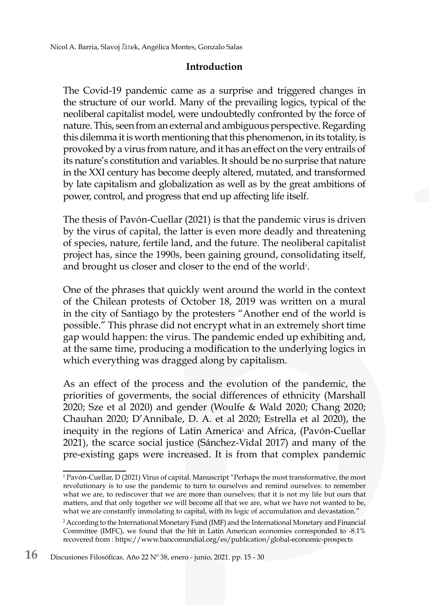#### **Introduction**

The Covid-19 pandemic came as a surprise and triggered changes in the structure of our world. Many of the prevailing logics, typical of the neoliberal capitalist model, were undoubtedly confronted by the force of nature. This, seen from an external and ambiguous perspective. Regarding this dilemma it is worth mentioning that this phenomenon, in its totality, is provoked by a virus from nature, and it has an effect on the very entrails of its nature's constitution and variables. It should be no surprise that nature in the XXI century has become deeply altered, mutated, and transformed by late capitalism and globalization as well as by the great ambitions of power, control, and progress that end up affecting life itself.

The thesis of Pavón-Cuellar (2021) is that the pandemic virus is driven by the virus of capital, the latter is even more deadly and threatening of species, nature, fertile land, and the future. The neoliberal capitalist project has, since the 1990s, been gaining ground, consolidating itself, and brought us closer and closer to the end of the world $^{\text{\tiny{1}}}.$ 

One of the phrases that quickly went around the world in the context of the Chilean protests of October 18, 2019 was written on a mural in the city of Santiago by the protesters "Another end of the world is possible." This phrase did not encrypt what in an extremely short time gap would happen: the virus. The pandemic ended up exhibiting and, at the same time, producing a modification to the underlying logics in which everything was dragged along by capitalism.

As an effect of the process and the evolution of the pandemic, the priorities of goverments, the social differences of ethnicity (Marshall 2020; Sze et al 2020) and gender (Woulfe & Wald 2020; Chang 2020; Chauhan 2020; D'Annibale, D. A. et al 2020; Estrella et al 2020), the inequity in the regions of Latin America<sup>2</sup> and Africa, (Pavón-Cuellar 2021), the scarce social justice (Sánchez-Vidal 2017) and many of the pre-existing gaps were increased. It is from that complex pandemic

<sup>1</sup> Pavón-Cuellar, D (2021) Virus of capital. Manuscript "Perhaps the most transformative, the most revolutionary is to use the pandemic to turn to ourselves and remind ourselves: to remember what we are, to rediscover that we are more than ourselves; that it is not my life but ours that matters, and that only together we will become all that we are, what we have not wanted to be, what we are constantly immolating to capital, with its logic of accumulation and devastation."

<sup>2</sup> According to the International Monetary Fund (IMF) and the International Monetary and Financial Committee (IMFC), we found that the hit in Latin American economies corresponded to -8.1% recovered from : https://www.bancomundial.org/es/publication/global-economic-prospects

**<sup>16</sup>** Discusiones Filosóficas. Año 22 Nº 38, enero - junio, 2021. pp. 15 - 30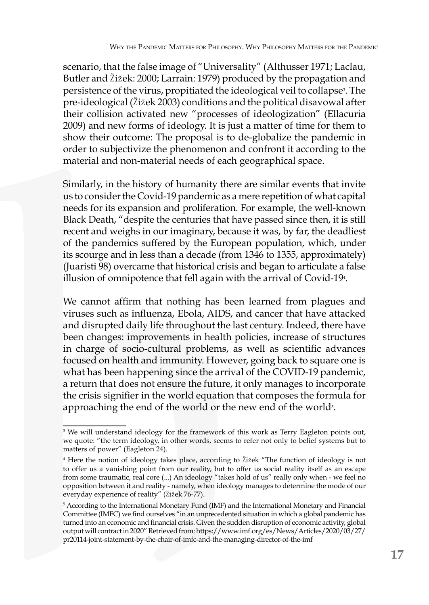scenario, that the false image of "Universality" (Althusser 1971; Laclau, Butler and Žižek: 2000; Larrain: 1979) produced by the propagation and persistence of the virus, propitiated the ideological veil to collapse<sup>3</sup>. The pre-ideological (Žižek 2003) conditions and the political disavowal after their collision activated new "processes of ideologization" (Ellacuria 2009) and new forms of ideology. It is just a matter of time for them to show their outcome: The proposal is to de-globalize the pandemic in order to subjectivize the phenomenon and confront it according to the material and non-material needs of each geographical space.

Similarly, in the history of humanity there are similar events that invite us to consider the Covid-19 pandemic as a mere repetition of what capital needs for its expansion and proliferation. For example, the well-known Black Death, "despite the centuries that have passed since then, it is still recent and weighs in our imaginary, because it was, by far, the deadliest of the pandemics suffered by the European population, which, under its scourge and in less than a decade (from 1346 to 1355, approximately) (Juaristi 98) overcame that historical crisis and began to articulate a false illusion of omnipotence that fell again with the arrival of Covid-19<sub>4.</sub>

We cannot affirm that nothing has been learned from plagues and viruses such as influenza, Ebola, AIDS, and cancer that have attacked and disrupted daily life throughout the last century. Indeed, there have been changes: improvements in health policies, increase of structures in charge of socio-cultural problems, as well as scientific advances focused on health and immunity. However, going back to square one is what has been happening since the arrival of the COVID-19 pandemic, a return that does not ensure the future, it only manages to incorporate the crisis signifier in the world equation that composes the formula for approaching the end of the world or the new end of the world $\bar{s}$ .

<sup>3</sup> We will understand ideology for the framework of this work as Terry Eagleton points out, we quote: "the term ideology, in other words, seems to refer not only to belief systems but to matters of power" (Eagleton 24).

<sup>4</sup> Here the notion of ideology takes place, according to Žižek "The function of ideology is not to offer us a vanishing point from our reality, but to offer us social reality itself as an escape from some traumatic, real core (...) An ideology "takes hold of us" really only when - we feel no opposition between it and reality - namely, when ideology manages to determine the mode of our everyday experience of reality" (Žižek 76-77).

<sup>5</sup> According to the International Monetary Fund (IMF) and the International Monetary and Financial Committee (IMFC) we find ourselves "in an unprecedented situation in which a global pandemic has turned into an economic and financial crisis. Given the sudden disruption of economic activity, global output will contract in 2020" Retrieved from: https://www.imf.org/es/News/Articles/2020/03/27/ pr20114-joint-statement-by-the-chair-of-imfc-and-the-managing-director-of-the-imf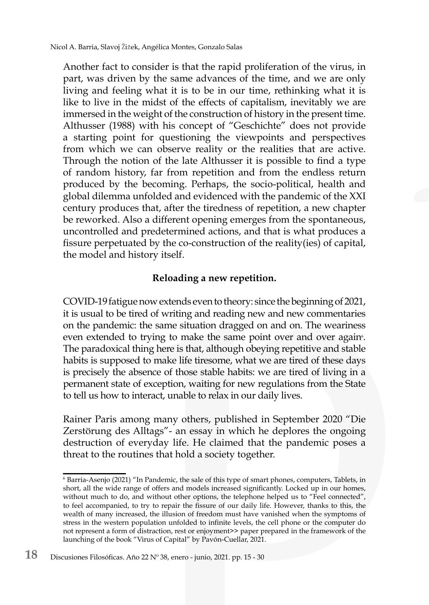Nicol A. Barria, Slavoj Žižek, Angélica Montes, Gonzalo Salas

Another fact to consider is that the rapid proliferation of the virus, in part, was driven by the same advances of the time, and we are only living and feeling what it is to be in our time, rethinking what it is like to live in the midst of the effects of capitalism, inevitably we are immersed in the weight of the construction of history in the present time. Althusser (1988) with his concept of "Geschichte" does not provide a starting point for questioning the viewpoints and perspectives from which we can observe reality or the realities that are active. Through the notion of the late Althusser it is possible to find a type of random history, far from repetition and from the endless return produced by the becoming. Perhaps, the socio-political, health and global dilemma unfolded and evidenced with the pandemic of the XXI century produces that, after the tiredness of repetition, a new chapter be reworked. Also a different opening emerges from the spontaneous, uncontrolled and predetermined actions, and that is what produces a fissure perpetuated by the co-construction of the reality(ies) of capital, the model and history itself.

#### **Reloading a new repetition.**

COVID-19 fatigue now extends even to theory: since the beginning of 2021, it is usual to be tired of writing and reading new and new commentaries on the pandemic: the same situation dragged on and on. The weariness even extended to trying to make the same point over and over again<sup>6</sup>. The paradoxical thing here is that, although obeying repetitive and stable habits is supposed to make life tiresome, what we are tired of these days is precisely the absence of those stable habits: we are tired of living in a permanent state of exception, waiting for new regulations from the State to tell us how to interact, unable to relax in our daily lives.

Rainer Paris among many others, published in September 2020 "Die Zerstörung des Alltags"- an essay in which he deplores the ongoing destruction of everyday life. He claimed that the pandemic poses a threat to the routines that hold a society together.

<sup>6</sup> Barria-Asenjo (2021) "In Pandemic, the sale of this type of smart phones, computers, Tablets, in short, all the wide range of offers and models increased significantly. Locked up in our homes, without much to do, and without other options, the telephone helped us to "Feel connected", to feel accompanied, to try to repair the fissure of our daily life. However, thanks to this, the wealth of many increased, the illusion of freedom must have vanished when the symptoms of stress in the western population unfolded to infinite levels, the cell phone or the computer do not represent a form of distraction, rest or enjoyment>> paper prepared in the framework of the launching of the book "Virus of Capital" by Pavón-Cuellar, 2021.

**<sup>18</sup>** Discusiones Filosóficas. Año 22 Nº 38, enero - junio, 2021. pp. 15 - 30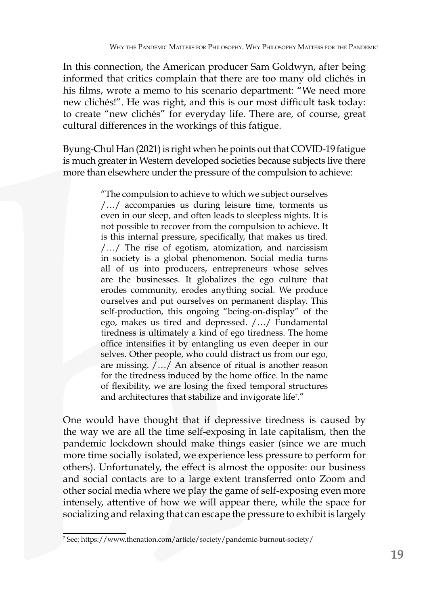In this connection, the American producer Sam Goldwyn, after being informed that critics complain that there are too many old clichés in his films, wrote a memo to his scenario department: "We need more new clichés!". He was right, and this is our most difficult task today: to create "new clichés" for everyday life. There are, of course, great cultural differences in the workings of this fatigue.

Byung-Chul Han (2021) is right when he points out that COVID-19 fatigue is much greater in Western developed societies because subjects live there more than elsewhere under the pressure of the compulsion to achieve:

> "The compulsion to achieve to which we subject ourselves /…/ accompanies us during leisure time, torments us even in our sleep, and often leads to sleepless nights. It is not possible to recover from the compulsion to achieve. It is this internal pressure, specifically, that makes us tired. /…/ The rise of egotism, atomization, and narcissism in society is a global phenomenon. Social media turns all of us into producers, entrepreneurs whose selves are the businesses. It globalizes the ego culture that erodes community, erodes anything social. We produce ourselves and put ourselves on permanent display. This self-production, this ongoing "being-on-display" of the ego, makes us tired and depressed. /…/ Fundamental tiredness is ultimately a kind of ego tiredness. The home office intensifies it by entangling us even deeper in our selves. Other people, who could distract us from our ego, are missing. /…/ An absence of ritual is another reason for the tiredness induced by the home office. In the name of flexibility, we are losing the fixed temporal structures and architectures that stabilize and invigorate life<sup>7</sup>."

One would have thought that if depressive tiredness is caused by the way we are all the time self-exposing in late capitalism, then the pandemic lockdown should make things easier (since we are much more time socially isolated, we experience less pressure to perform for others). Unfortunately, the effect is almost the opposite: our business and social contacts are to a large extent transferred onto Zoom and other social media where we play the game of self-exposing even more intensely, attentive of how we will appear there, while the space for socializing and relaxing that can escape the pressure to exhibit is largely

<sup>7</sup> See: https://www.thenation.com/article/society/pandemic-burnout-society/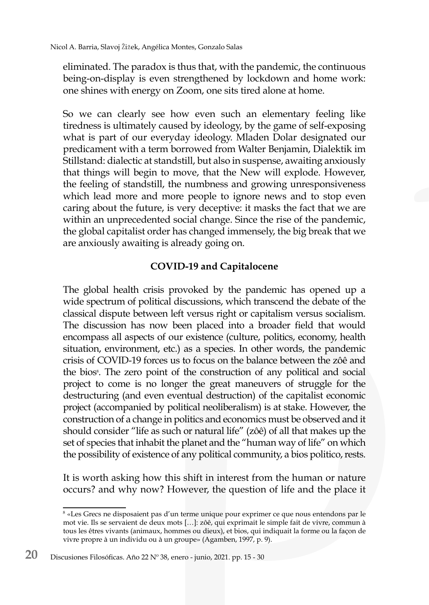eliminated. The paradox is thus that, with the pandemic, the continuous being-on-display is even strengthened by lockdown and home work: one shines with energy on Zoom, one sits tired alone at home.

So we can clearly see how even such an elementary feeling like tiredness is ultimately caused by ideology, by the game of self-exposing what is part of our everyday ideology. Mladen Dolar designated our predicament with a term borrowed from Walter Benjamin, Dialektik im Stillstand: dialectic at standstill, but also in suspense, awaiting anxiously that things will begin to move, that the New will explode. However, the feeling of standstill, the numbness and growing unresponsiveness which lead more and more people to ignore news and to stop even caring about the future, is very deceptive: it masks the fact that we are within an unprecedented social change. Since the rise of the pandemic, the global capitalist order has changed immensely, the big break that we are anxiously awaiting is already going on.

### **COVID-19 and Capitalocene**

The global health crisis provoked by the pandemic has opened up a wide spectrum of political discussions, which transcend the debate of the classical dispute between left versus right or capitalism versus socialism. The discussion has now been placed into a broader field that would encompass all aspects of our existence (culture, politics, economy, health situation, environment, etc.) as a species. In other words, the pandemic crisis of COVID-19 forces us to focus on the balance between the zôê and the bios<sup>8</sup>. The zero point of the construction of any political and social project to come is no longer the great maneuvers of struggle for the destructuring (and even eventual destruction) of the capitalist economic project (accompanied by political neoliberalism) is at stake. However, the construction of a change in politics and economics must be observed and it should consider "life as such or natural life" (zôê) of all that makes up the set of species that inhabit the planet and the "human way of life" on which the possibility of existence of any political community, a bios politico, rests.

It is worth asking how this shift in interest from the human or nature occurs? and why now? However, the question of life and the place it

<sup>8</sup> «Les Grecs ne disposaient pas d'un terme unique pour exprimer ce que nous entendons par le mot vie. Ils se servaient de deux mots […]: zôê, qui exprimait le simple fait de vivre, commun à tous les êtres vivants (animaux, hommes ou dieux), et bios, qui indiquait la forme ou la façon de vivre propre à un individu ou à un groupe» (Agamben, 1997, p. 9).

**<sup>20</sup>** Discusiones Filosóficas. Año 22 Nº 38, enero - junio, 2021. pp. 15 - 30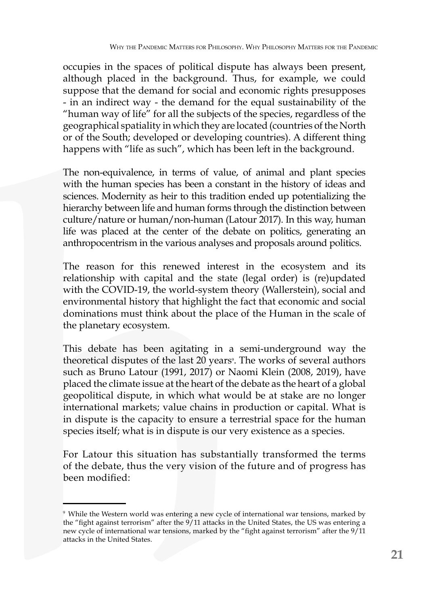occupies in the spaces of political dispute has always been present, although placed in the background. Thus, for example, we could suppose that the demand for social and economic rights presupposes - in an indirect way - the demand for the equal sustainability of the "human way of life" for all the subjects of the species, regardless of the geographical spatiality in which they are located (countries of the North or of the South; developed or developing countries). A different thing happens with "life as such", which has been left in the background.

The non-equivalence, in terms of value, of animal and plant species with the human species has been a constant in the history of ideas and sciences. Modernity as heir to this tradition ended up potentializing the hierarchy between life and human forms through the distinction between culture/nature or human/non-human (Latour 2017). In this way, human life was placed at the center of the debate on politics, generating an anthropocentrism in the various analyses and proposals around politics.

The reason for this renewed interest in the ecosystem and its relationship with capital and the state (legal order) is (re)updated with the COVID-19, the world-system theory (Wallerstein), social and environmental history that highlight the fact that economic and social dominations must think about the place of the Human in the scale of the planetary ecosystem.

This debate has been agitating in a semi-underground way the theoretical disputes of the last 20 years<sup>9</sup>. The works of several authors such as Bruno Latour (1991, 2017) or Naomi Klein (2008, 2019), have placed the climate issue at the heart of the debate as the heart of a global geopolitical dispute, in which what would be at stake are no longer international markets; value chains in production or capital. What is in dispute is the capacity to ensure a terrestrial space for the human species itself; what is in dispute is our very existence as a species.

For Latour this situation has substantially transformed the terms of the debate, thus the very vision of the future and of progress has been modified:

<sup>9</sup> While the Western world was entering a new cycle of international war tensions, marked by the "fight against terrorism" after the 9/11 attacks in the United States, the US was entering a new cycle of international war tensions, marked by the "fight against terrorism" after the 9/11 attacks in the United States.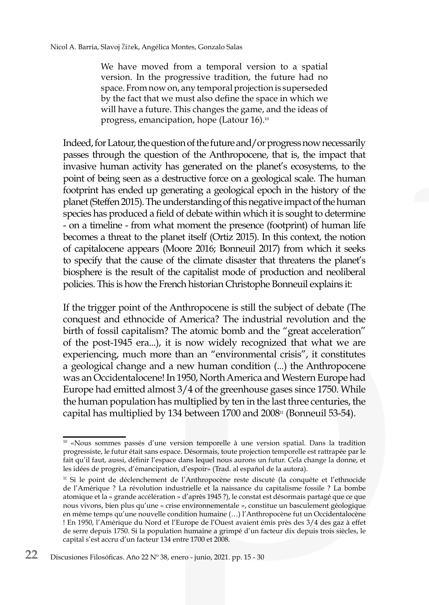We have moved from a temporal version to a spatial version. In the progressive tradition, the future had no space. From now on, any temporal projection is superseded by the fact that we must also define the space in which we will have a future. This changes the game, and the ideas of progress, emancipation, hope (Latour 16).10

Indeed, for Latour, the question of the future and/or progress now necessarily passes through the question of the Anthropocene, that is, the impact that invasive human activity has generated on the planet's ecosystems, to the point of being seen as a destructive force on a geological scale. The human footprint has ended up generating a geological epoch in the history of the planet (Steffen 2015). The understanding of this negative impact of the human species has produced a field of debate within which it is sought to determine - on a timeline - from what moment the presence (footprint) of human life becomes a threat to the planet itself (Ortiz 2015). In this context, the notion of capitalocene appears (Moore 2016; Bonneuil 2017) from which it seeks to specify that the cause of the climate disaster that threatens the planet's biosphere is the result of the capitalist mode of production and neoliberal policies. This is how the French historian Christophe Bonneuil explains it:

If the trigger point of the Anthropocene is still the subject of debate (The conquest and ethnocide of America? The industrial revolution and the birth of fossil capitalism? The atomic bomb and the "great acceleration" of the post-1945 era...), it is now widely recognized that what we are experiencing, much more than an "environmental crisis", it constitutes a geological change and a new human condition (...) the Anthropocene was an Occidentalocene! In 1950, North America and Western Europe had Europe had emitted almost 3/4 of the greenhouse gases since 1750. While the human population has multiplied by ten in the last three centuries, the capital has multiplied by 134 between 1700 and 2008<sup>11</sup> (Bonneuil 53-54).

<sup>10 «</sup>Nous sommes passés d'une version temporelle à une version spatial. Dans la tradition progressiste, le futur était sans espace. Désormais, toute projection temporelle est rattrapée par le fait qu'il faut, aussi, définir l'espace dans lequel nous aurons un futur. Cela change la donne, et les idées de progrès, d'émancipation, d'espoir» (Trad. al español de la autora).

<sup>&</sup>lt;sup>11</sup> Si le point de déclenchement de l'Anthropocène reste discuté (la conquête et l'ethnocide de l'Amérique ? La révolution industrielle et la naissance du capitalisme fossile ? La bombe atomique et la « grande accélération » d'après 1945 ?), le constat est désormais partagé que ce que nous vivons, bien plus qu'une « crise environnementale », constitue un basculement géologique en même temps qu'une nouvelle condition humaine (…) l'Anthropocène fut un Occidentalocène ! En 1950, l'Amérique du Nord et l'Europe de l'Ouest avaient émis près des 3/4 des gaz à effet de serre depuis 1750. Si la population humaine a grimpé d'un facteur dix depuis trois siècles, le capital s'est accru d'un facteur 134 entre 1700 et 2008.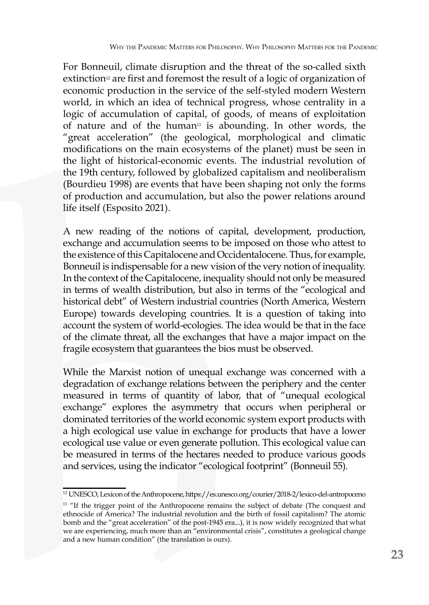For Bonneuil, climate disruption and the threat of the so-called sixth extinction<sup>12</sup> are first and foremost the result of a logic of organization of economic production in the service of the self-styled modern Western world, in which an idea of technical progress, whose centrality in a logic of accumulation of capital, of goods, of means of exploitation of nature and of the human<sup>13</sup> is abounding. In other words, the "great acceleration" (the geological, morphological and climatic modifications on the main ecosystems of the planet) must be seen in the light of historical-economic events. The industrial revolution of the 19th century, followed by globalized capitalism and neoliberalism (Bourdieu 1998) are events that have been shaping not only the forms of production and accumulation, but also the power relations around life itself (Esposito 2021).

A new reading of the notions of capital, development, production, exchange and accumulation seems to be imposed on those who attest to the existence of this Capitalocene and Occidentalocene. Thus, for example, Bonneuil is indispensable for a new vision of the very notion of inequality. In the context of the Capitalocene, inequality should not only be measured in terms of wealth distribution, but also in terms of the "ecological and historical debt" of Western industrial countries (North America, Western Europe) towards developing countries. It is a question of taking into account the system of world-ecologies. The idea would be that in the face of the climate threat, all the exchanges that have a major impact on the fragile ecosystem that guarantees the bios must be observed.

While the Marxist notion of unequal exchange was concerned with a degradation of exchange relations between the periphery and the center measured in terms of quantity of labor, that of "unequal ecological exchange" explores the asymmetry that occurs when peripheral or dominated territories of the world economic system export products with a high ecological use value in exchange for products that have a lower ecological use value or even generate pollution. This ecological value can be measured in terms of the hectares needed to produce various goods and services, using the indicator "ecological footprint" (Bonneuil 55).

<sup>12</sup> UNESCO, Lexicon of the Anthropocene, https://es.unesco.org/courier/2018-2/lexico-del-antropoceno

<sup>&</sup>lt;sup>13</sup> "If the trigger point of the Anthropocene remains the subject of debate (The conquest and ethnocide of America? The industrial revolution and the birth of fossil capitalism? The atomic bomb and the "great acceleration" of the post-1945 era...), it is now widely recognized that what we are experiencing, much more than an "environmental crisis", constitutes a geological change and a new human condition" (the translation is ours).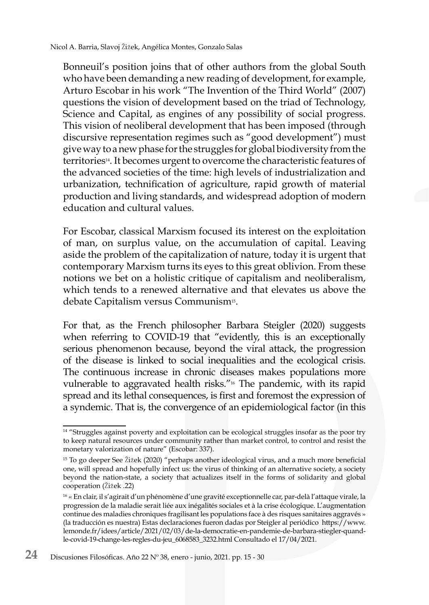Bonneuil's position joins that of other authors from the global South who have been demanding a new reading of development, for example, Arturo Escobar in his work "The Invention of the Third World" (2007) questions the vision of development based on the triad of Technology, Science and Capital, as engines of any possibility of social progress. This vision of neoliberal development that has been imposed (through discursive representation regimes such as "good development") must give way to a new phase for the struggles for global biodiversity from the territories14. It becomes urgent to overcome the characteristic features of the advanced societies of the time: high levels of industrialization and urbanization, technification of agriculture, rapid growth of material production and living standards, and widespread adoption of modern education and cultural values.

For Escobar, classical Marxism focused its interest on the exploitation of man, on surplus value, on the accumulation of capital. Leaving aside the problem of the capitalization of nature, today it is urgent that contemporary Marxism turns its eyes to this great oblivion. From these notions we bet on a holistic critique of capitalism and neoliberalism, which tends to a renewed alternative and that elevates us above the debate Capitalism versus Communism15.

For that, as the French philosopher Barbara Steigler (2020) suggests when referring to COVID-19 that "evidently, this is an exceptionally serious phenomenon because, beyond the viral attack, the progression of the disease is linked to social inequalities and the ecological crisis. The continuous increase in chronic diseases makes populations more vulnerable to aggravated health risks."<sup>16</sup> The pandemic, with its rapid spread and its lethal consequences, is first and foremost the expression of a syndemic. That is, the convergence of an epidemiological factor (in this

<sup>&</sup>lt;sup>14</sup> "Struggles against poverty and exploitation can be ecological struggles insofar as the poor try to keep natural resources under community rather than market control, to control and resist the monetary valorization of nature" (Escobar: 337).

<sup>15</sup> To go deeper See Žižek (2020) "perhaps another ideological virus, and a much more beneficial one, will spread and hopefully infect us: the virus of thinking of an alternative society, a society beyond the nation-state, a society that actualizes itself in the forms of solidarity and global cooperation (Žižek .22)

<sup>16 «</sup> En clair, il s'agirait d'un phénomène d'une gravité exceptionnelle car, par-delà l'attaque virale, la progression de la maladie serait liée aux inégalités sociales et à la crise écologique. L'augmentation continue des maladies chroniques fragilisant les populations face à des risques sanitaires aggravés » (la traducción es nuestra) Estas declaraciones fueron dadas por Steigler al periódico https://www. lemonde.fr/idees/article/2021/02/03/de-la-democratie-en-pandemie-de-barbara-stiegler-quandle-covid-19-change-les-regles-du-jeu\_6068583\_3232.html Consultado el 17/04/2021.

**<sup>24</sup>** Discusiones Filosóficas. Año 22 Nº 38, enero - junio, 2021. pp. 15 - 30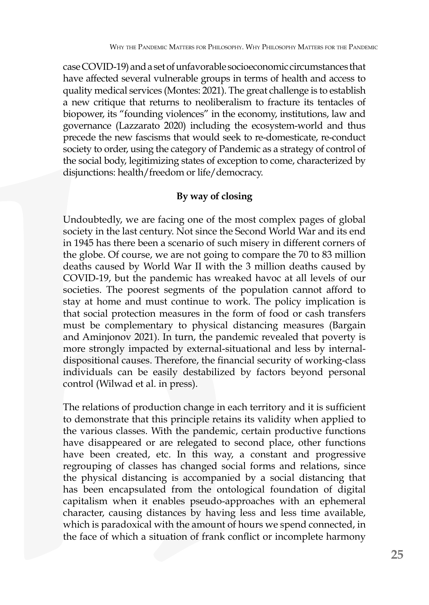case COVID-19) and a set of unfavorable socioeconomic circumstances that have affected several vulnerable groups in terms of health and access to quality medical services (Montes: 2021). The great challenge is to establish a new critique that returns to neoliberalism to fracture its tentacles of biopower, its "founding violences" in the economy, institutions, law and governance (Lazzarato 2020) including the ecosystem-world and thus precede the new fascisms that would seek to re-domesticate, re-conduct society to order, using the category of Pandemic as a strategy of control of the social body, legitimizing states of exception to come, characterized by disjunctions: health/freedom or life/democracy.

## **By way of closing**

Undoubtedly, we are facing one of the most complex pages of global society in the last century. Not since the Second World War and its end in 1945 has there been a scenario of such misery in different corners of the globe. Of course, we are not going to compare the 70 to 83 million deaths caused by World War II with the 3 million deaths caused by COVID-19, but the pandemic has wreaked havoc at all levels of our societies. The poorest segments of the population cannot afford to stay at home and must continue to work. The policy implication is that social protection measures in the form of food or cash transfers must be complementary to physical distancing measures (Bargain and Aminjonov 2021). In turn, the pandemic revealed that poverty is more strongly impacted by external-situational and less by internaldispositional causes. Therefore, the financial security of working-class individuals can be easily destabilized by factors beyond personal control (Wilwad et al. in press).

The relations of production change in each territory and it is sufficient to demonstrate that this principle retains its validity when applied to the various classes. With the pandemic, certain productive functions have disappeared or are relegated to second place, other functions have been created, etc. In this way, a constant and progressive regrouping of classes has changed social forms and relations, since the physical distancing is accompanied by a social distancing that has been encapsulated from the ontological foundation of digital capitalism when it enables pseudo-approaches with an ephemeral character, causing distances by having less and less time available, which is paradoxical with the amount of hours we spend connected, in the face of which a situation of frank conflict or incomplete harmony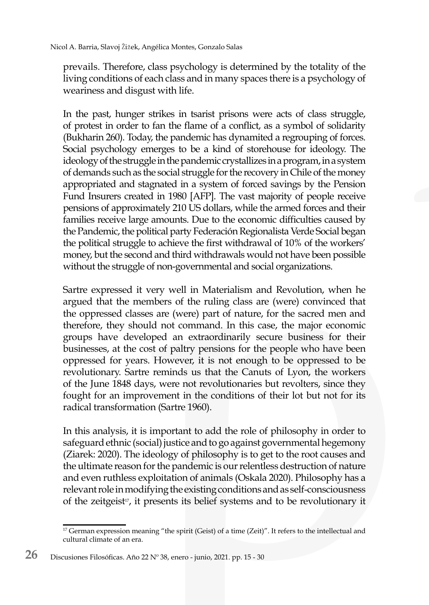prevails. Therefore, class psychology is determined by the totality of the living conditions of each class and in many spaces there is a psychology of weariness and disgust with life.

In the past, hunger strikes in tsarist prisons were acts of class struggle, of protest in order to fan the flame of a conflict, as a symbol of solidarity (Bukharin 260). Today, the pandemic has dynamited a regrouping of forces. Social psychology emerges to be a kind of storehouse for ideology. The ideology of the struggle in the pandemic crystallizes in a program, in a system of demands such as the social struggle for the recovery in Chile of the money appropriated and stagnated in a system of forced savings by the Pension Fund Insurers created in 1980 [AFP]. The vast majority of people receive pensions of approximately 210 US dollars, while the armed forces and their families receive large amounts. Due to the economic difficulties caused by the Pandemic, the political party Federación Regionalista Verde Social began the political struggle to achieve the first withdrawal of 10% of the workers' money, but the second and third withdrawals would not have been possible without the struggle of non-governmental and social organizations.

Sartre expressed it very well in Materialism and Revolution, when he argued that the members of the ruling class are (were) convinced that the oppressed classes are (were) part of nature, for the sacred men and therefore, they should not command. In this case, the major economic groups have developed an extraordinarily secure business for their businesses, at the cost of paltry pensions for the people who have been oppressed for years. However, it is not enough to be oppressed to be revolutionary. Sartre reminds us that the Canuts of Lyon, the workers of the June 1848 days, were not revolutionaries but revolters, since they fought for an improvement in the conditions of their lot but not for its radical transformation (Sartre 1960).

In this analysis, it is important to add the role of philosophy in order to safeguard ethnic (social) justice and to go against governmental hegemony (Ziarek: 2020). The ideology of philosophy is to get to the root causes and the ultimate reason for the pandemic is our relentless destruction of nature and even ruthless exploitation of animals (Oskala 2020). Philosophy has a relevant role in modifying the existing conditions and as self-consciousness of the zeitgeist<sup>17</sup>, it presents its belief systems and to be revolutionary it

<sup>&</sup>lt;sup>17</sup> German expression meaning "the spirit (Geist) of a time (Zeit)". It refers to the intellectual and cultural climate of an era.

**<sup>26</sup>** Discusiones Filosóficas. Año 22 Nº 38, enero - junio, 2021. pp. 15 - 30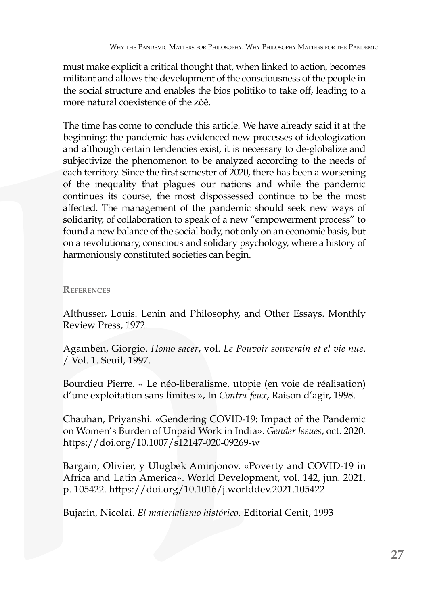must make explicit a critical thought that, when linked to action, becomes militant and allows the development of the consciousness of the people in the social structure and enables the bios politiko to take off, leading to a more natural coexistence of the zôê.

The time has come to conclude this article. We have already said it at the beginning: the pandemic has evidenced new processes of ideologization and although certain tendencies exist, it is necessary to de-globalize and subjectivize the phenomenon to be analyzed according to the needs of each territory. Since the first semester of 2020, there has been a worsening of the inequality that plagues our nations and while the pandemic continues its course, the most dispossessed continue to be the most affected. The management of the pandemic should seek new ways of solidarity, of collaboration to speak of a new "empowerment process" to found a new balance of the social body, not only on an economic basis, but on a revolutionary, conscious and solidary psychology, where a history of harmoniously constituted societies can begin.

#### **References**

Althusser, Louis. Lenin and Philosophy, and Other Essays. Monthly Review Press, 1972.

Agamben, Giorgio. *Homo sacer*, vol. *Le Pouvoir souverain et el vie nue*. / Vol. 1. Seuil, 1997.

Bourdieu Pierre. « Le néo-liberalisme, utopie (en voie de réalisation) d'une exploitation sans limites », In *Contra-feux*, Raison d'agir, 1998.

Chauhan, Priyanshi. «Gendering COVID-19: Impact of the Pandemic on Women's Burden of Unpaid Work in India». *Gender Issues*, oct. 2020. https://doi.org/10.1007/s12147-020-09269-w

Bargain, Olivier, y Ulugbek Aminjonov. «Poverty and COVID-19 in Africa and Latin America». World Development, vol. 142, jun. 2021, p. 105422. https://doi.org/10.1016/j.worlddev.2021.105422

Bujarin, Nicolai. *El materialismo histórico.* Editorial Cenit, 1993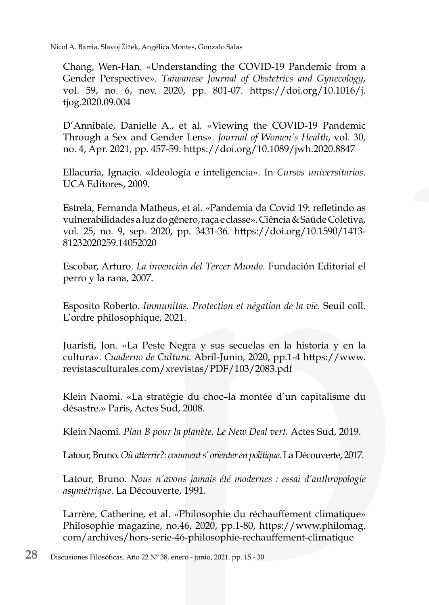Nicol A. Barria, Slavoj Žižek, Angélica Montes, Gonzalo Salas

Chang, Wen-Han. «Understanding the COVID-19 Pandemic from a Gender Perspective». *Taiwanese Journal of Obstetrics and Gynecology*, vol. 59, no. 6, nov. 2020, pp. 801-07. https://doi.org/10.1016/j. tjog.2020.09.004

D'Annibale, Danielle A., et al. «Viewing the COVID-19 Pandemic Through a Sex and Gender Lens». *Journal of Women's Health*, vol. 30, no. 4, Apr. 2021, pp. 457-59. https://doi.org/10.1089/jwh.2020.8847

Ellacuría, Ignacio. «Ideología e inteligencia»*.* In *Cursos universitarios*. UCA Editores, 2009.

Estrela, Fernanda Matheus, et al. «Pandemia da Covid 19: refletindo as vulnerabilidades a luz do gênero, raça e classe». Ciência & Saúde Coletiva, vol. 25, no. 9, sep. 2020, pp. 3431-36. https://doi.org/10.1590/1413- 81232020259.14052020

Escobar, Arturo. *La invención del Tercer Mundo.* Fundación Editorial el perro y la rana, 2007.

Esposito Roberto. *Immunitas. Protection et négation de la vie.* Seuil coll. L'ordre philosophique, 2021.

Juaristi, Jon. «La Peste Negra y sus secuelas en la historia y en la cultura». *Cuaderno de Cultura.* Abril-Junio, 2020, pp.1-4 https://www. revistasculturales.com/xrevistas/PDF/103/2083.pdf

Klein Naomi. «La stratégie du choc–la montée d'un capitalisme du désastre.» Paris, Actes Sud, 2008.

Klein Naomi. *Plan B pour la planète. Le New Deal vert.* Actes Sud, 2019.

Latour, Bruno. *Où atterrir?: comment s' orienter en politique.* La Découverte, 2017.

Latour, Bruno. *Nous n'avons jamais été modernes : essai d'anthropologie asymétrique*. La Découverte, 1991.

Larrère, Catherine, et al. «Philosophie du réchauffement climatique» Philosophie magazine, no.46, 2020, pp.1-80, https://www.philomag. com/archives/hors-serie-46-philosophie-rechauffement-climatique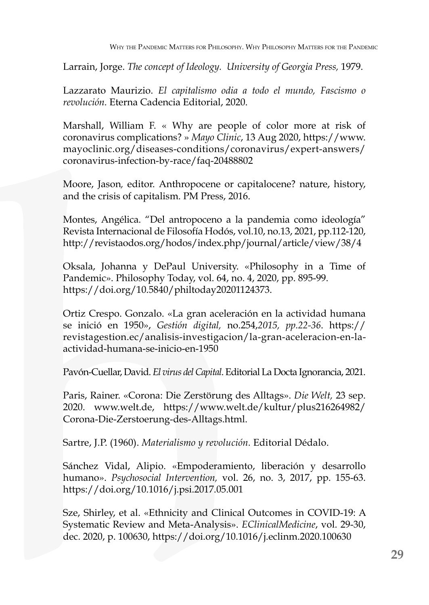Larrain, Jorge. *The concept of Ideology. University of Georgia Press,* 1979.

Lazzarato Maurizio. *El capitalismo odia a todo el mundo, Fascismo o revolución.* Eterna Cadencia Editorial, 2020.

Marshall, William F. « Why are people of color more at risk of coronavirus complications? » *Mayo Clinic*, 13 Aug 2020, https://www. mayoclinic.org/diseases-conditions/coronavirus/expert-answers/ coronavirus-infection-by-race/faq-20488802

Moore, Jason*,* editor. Anthropocene or capitalocene? nature, history, and the crisis of capitalism. PM Press, 2016.

Montes, Angélica. "Del antropoceno a la pandemia como ideología" Revista Internacional de Filosofía Hodós, vol.10, no.13, 2021, pp.112-120, http://revistaodos.org/hodos/index.php/journal/article/view/38/4

Oksala, Johanna y DePaul University. «Philosophy in a Time of Pandemic». Philosophy Today, vol. 64, no. 4, 2020, pp. 895-99. https://doi.org/10.5840/philtoday20201124373.

Ortiz Crespo. Gonzalo. «La gran aceleración en la actividad humana se inició en 1950», *Gestión digital,* no.254,*2015, pp.22-36*. https:// revistagestion.ec/analisis-investigacion/la-gran-aceleracion-en-laactividad-humana-se-inicio-en-1950

Pavón-Cuellar, David. *El virus del Capital*. Editorial La Docta Ignorancia, 2021.

Paris, Rainer. «Corona: Die Zerstörung des Alltags». *Die Welt,* 23 sep. 2020. www.welt.de, https://www.welt.de/kultur/plus216264982/ Corona-Die-Zerstoerung-des-Alltags.html.

Sartre, J.P. (1960). *Materialismo y revolución.* Editorial Dédalo.

Sánchez Vidal, Alipio. «Empoderamiento, liberación y desarrollo humano». *Psychosocial Intervention,* vol. 26, no. 3, 2017, pp. 155-63. https://doi.org/10.1016/j.psi.2017.05.001

Sze, Shirley, et al. «Ethnicity and Clinical Outcomes in COVID-19: A Systematic Review and Meta-Analysis». *EClinicalMedicine*, vol. 29-30, dec. 2020, p. 100630, https://doi.org/10.1016/j.eclinm.2020.100630